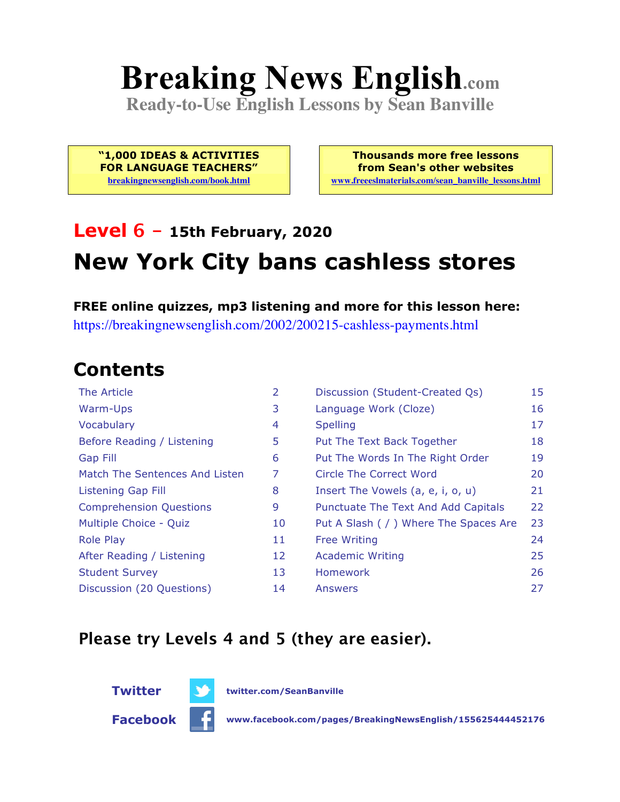# **Breaking News English.com**

**Ready-to-Use English Lessons by Sean Banville**

**"1,000 IDEAS & ACTIVITIES FOR LANGUAGE TEACHERS" breakingnewsenglish.com/book.html**

**Thousands more free lessons from Sean's other websites www.freeeslmaterials.com/sean\_banville\_lessons.html**

### **Level 6 - 15th February, 2020 New York City bans cashless stores**

**FREE online quizzes, mp3 listening and more for this lesson here:** https://breakingnewsenglish.com/2002/200215-cashless-payments.html

### **Contents**

| The Article                    | $\overline{2}$ | Discussion (Student-Created Qs)        | 15 |
|--------------------------------|----------------|----------------------------------------|----|
| Warm-Ups                       | 3              | Language Work (Cloze)                  | 16 |
| Vocabulary                     | 4              | <b>Spelling</b>                        | 17 |
| Before Reading / Listening     | 5              | Put The Text Back Together             | 18 |
| <b>Gap Fill</b>                | 6              | Put The Words In The Right Order       | 19 |
| Match The Sentences And Listen | 7              | Circle The Correct Word                | 20 |
| Listening Gap Fill             | 8              | Insert The Vowels (a, e, i, o, u)      | 21 |
| <b>Comprehension Questions</b> | 9              | Punctuate The Text And Add Capitals    | 22 |
| Multiple Choice - Quiz         | 10             | Put A Slash ( / ) Where The Spaces Are | 23 |
| <b>Role Play</b>               | 11             | <b>Free Writing</b>                    | 24 |
| After Reading / Listening      | 12             | <b>Academic Writing</b>                | 25 |
| <b>Student Survey</b>          | 13             | <b>Homework</b>                        | 26 |
| Discussion (20 Questions)      | 14             | Answers                                | 27 |

#### **Please try Levels 4 and 5 (they are easier).**



**Twitter twitter.com/SeanBanville**

**Facebook www.facebook.com/pages/BreakingNewsEnglish/155625444452176**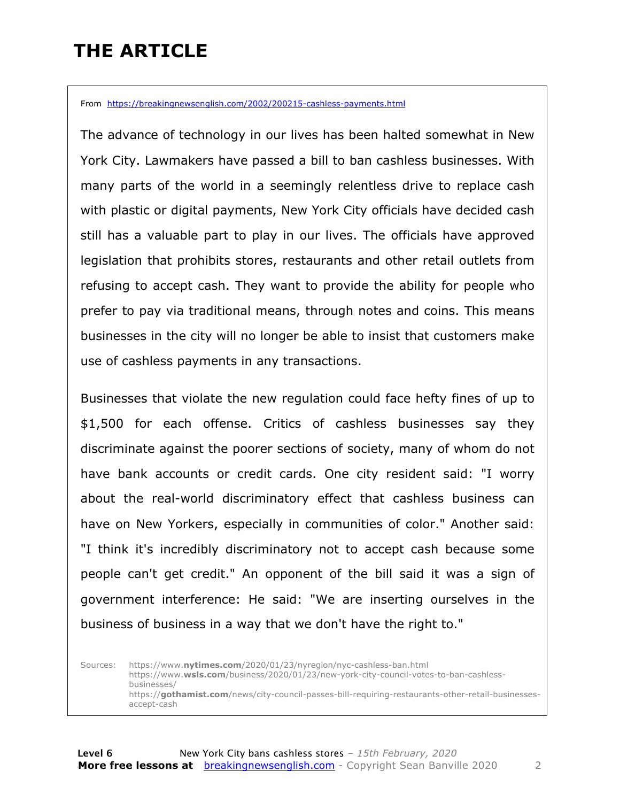### **THE ARTICLE**

From https://breakingnewsenglish.com/2002/200215-cashless-payments.html

The advance of technology in our lives has been halted somewhat in New York City. Lawmakers have passed a bill to ban cashless businesses. With many parts of the world in a seemingly relentless drive to replace cash with plastic or digital payments, New York City officials have decided cash still has a valuable part to play in our lives. The officials have approved legislation that prohibits stores, restaurants and other retail outlets from refusing to accept cash. They want to provide the ability for people who prefer to pay via traditional means, through notes and coins. This means businesses in the city will no longer be able to insist that customers make use of cashless payments in any transactions.

Businesses that violate the new regulation could face hefty fines of up to \$1,500 for each offense. Critics of cashless businesses say they discriminate against the poorer sections of society, many of whom do not have bank accounts or credit cards. One city resident said: "I worry about the real-world discriminatory effect that cashless business can have on New Yorkers, especially in communities of color." Another said: "I think it's incredibly discriminatory not to accept cash because some people can't get credit." An opponent of the bill said it was a sign of government interference: He said: "We are inserting ourselves in the business of business in a way that we don't have the right to."

Sources: https://www.**nytimes.com**/2020/01/23/nyregion/nyc-cashless-ban.html https://www.**wsls.com**/business/2020/01/23/new-york-city-council-votes-to-ban-cashlessbusinesses/ https://**gothamist.com**/news/city-council-passes-bill-requiring-restaurants-other-retail-businessesaccept-cash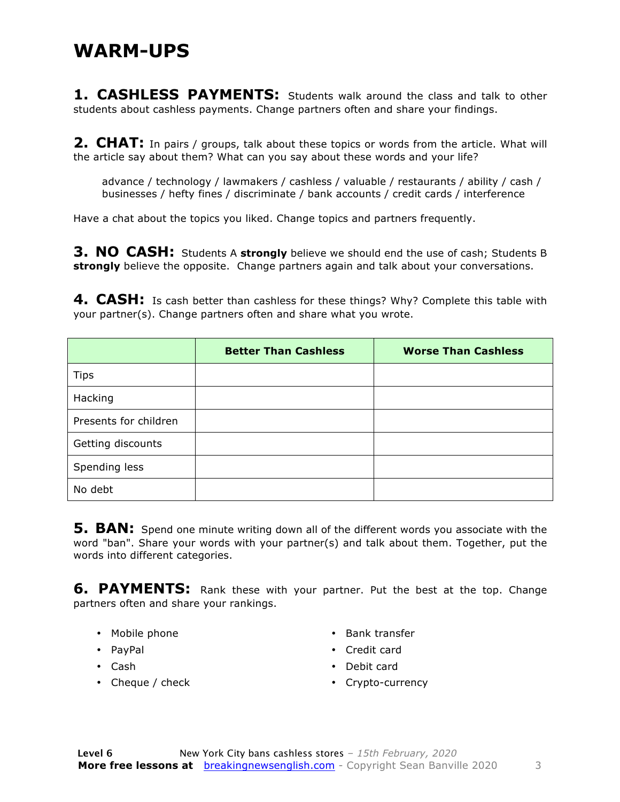#### **WARM-UPS**

1. CASHLESS PAYMENTS: Students walk around the class and talk to other students about cashless payments. Change partners often and share your findings.

**2. CHAT:** In pairs / groups, talk about these topics or words from the article. What will the article say about them? What can you say about these words and your life?

advance / technology / lawmakers / cashless / valuable / restaurants / ability / cash / businesses / hefty fines / discriminate / bank accounts / credit cards / interference

Have a chat about the topics you liked. Change topics and partners frequently.

**3. NO CASH:** Students A **strongly** believe we should end the use of cash; Students B **strongly** believe the opposite. Change partners again and talk about your conversations.

**4. CASH:** Is cash better than cashless for these things? Why? Complete this table with your partner(s). Change partners often and share what you wrote.

|                       | <b>Better Than Cashless</b> | <b>Worse Than Cashless</b> |
|-----------------------|-----------------------------|----------------------------|
| <b>Tips</b>           |                             |                            |
| Hacking               |                             |                            |
| Presents for children |                             |                            |
| Getting discounts     |                             |                            |
| Spending less         |                             |                            |
| No debt               |                             |                            |

**5. BAN:** Spend one minute writing down all of the different words you associate with the word "ban". Share your words with your partner(s) and talk about them. Together, put the words into different categories.

**6. PAYMENTS:** Rank these with your partner. Put the best at the top. Change partners often and share your rankings.

- Mobile phone
- PayPal
- Cash
- Cheque / check
- Bank transfer
- Credit card
- Debit card
- Crypto-currency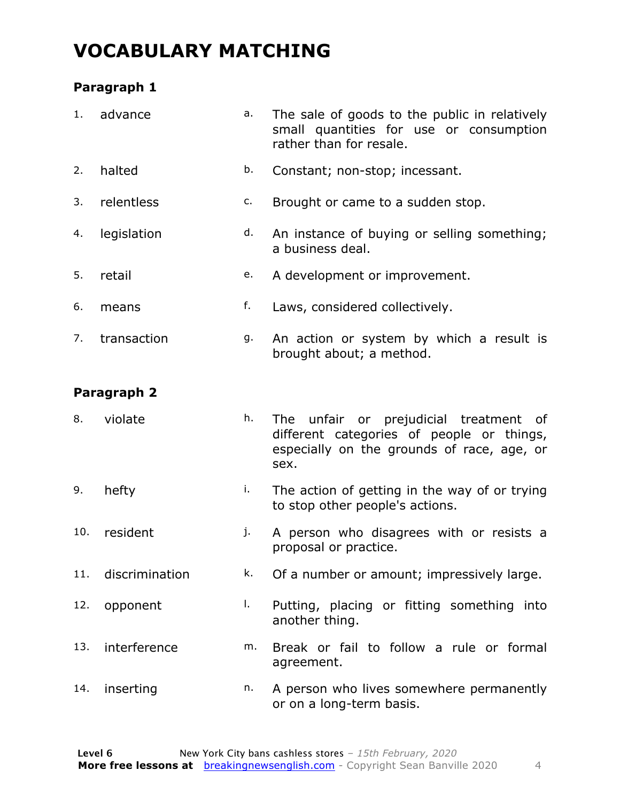### **VOCABULARY MATCHING**

#### **Paragraph 1**

| 1.  | advance        | a. | The sale of goods to the public in relatively<br>small quantities for use or consumption<br>rather than for resale.                          |
|-----|----------------|----|----------------------------------------------------------------------------------------------------------------------------------------------|
| 2.  | halted         | b. | Constant; non-stop; incessant.                                                                                                               |
| 3.  | relentless     | c. | Brought or came to a sudden stop.                                                                                                            |
| 4.  | legislation    | d. | An instance of buying or selling something;<br>a business deal.                                                                              |
| 5.  | retail         | e. | A development or improvement.                                                                                                                |
| 6.  | means          | f. | Laws, considered collectively.                                                                                                               |
| 7.  | transaction    | g. | An action or system by which a result is<br>brought about; a method.                                                                         |
|     | Paragraph 2    |    |                                                                                                                                              |
| 8.  | violate        | h. | The unfair or prejudicial treatment<br>of<br>different categories of people or things,<br>especially on the grounds of race, age, or<br>sex. |
| 9.  | hefty          | i. | The action of getting in the way of or trying<br>to stop other people's actions.                                                             |
| 10. | resident       | j. | A person who disagrees with or resists a<br>proposal or practice.                                                                            |
| 11. | discrimination | k. | Of a number or amount; impressively large.                                                                                                   |
| 12. | opponent       | Τ. | Putting, placing or fitting something into<br>another thing.                                                                                 |
| 13. | interference   | m. | Break or fail to follow a rule or formal<br>agreement.                                                                                       |
| 14. | inserting      | n. | A person who lives somewhere permanently<br>or on a long-term basis.                                                                         |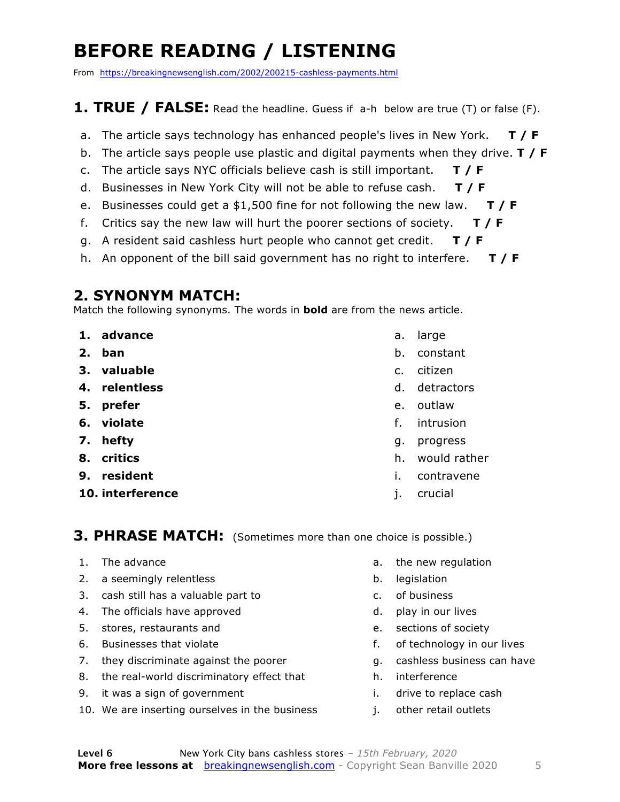### **BEFORE READING / LISTENING**

From https://breakingnewsenglish.com/2002/200215-cashless-payments.html

#### **1. TRUE / FALSE:** Read the headline. Guess if a-h below are true (T) or false (F).

- a. The article says technology has enhanced people's lives in New York. **T / F**
- b. The article says people use plastic and digital payments when they drive. **T / F**
- c. The article says NYC officials believe cash is still important. **T / F**
- d. Businesses in New York City will not be able to refuse cash. **T / F**
- e. Businesses could get a \$1,500 fine for not following the new law. **T / F**
- f. Critics say the new law will hurt the poorer sections of society. **T / F**
- g. A resident said cashless hurt people who cannot get credit. **T / F**
- h. An opponent of the bill said government has no right to interfere. **T / F**

#### **2. SYNONYM MATCH:**

Match the following synonyms. The words in **bold** are from the news article.

- **1. advance**
- **2. ban**
- **3. valuable**
- **4. relentless**
- **5. prefer**
- **6. violate**
- **7. hefty**
- **8. critics**
- **9. resident**
- **10. interference**
- a. large
- b. constant
- c. citizen
- d. detractors
- e. outlaw
- f. intrusion
- g. progress
- h. would rather
- i. contravene
- j. crucial

**3. PHRASE MATCH:** (Sometimes more than one choice is possible.)

- 1. The advance
- 2. a seemingly relentless
- 3. cash still has a valuable part to
- 4. The officials have approved
- 5. stores, restaurants and
- 6. Businesses that violate
- 7. they discriminate against the poorer
- 8. the real-world discriminatory effect that
- 9. it was a sign of government
- 10. We are inserting ourselves in the business
- a. the new regulation
- b. legislation
- c. of business
- d. play in our lives
- e. sections of society
- f. of technology in our lives
- g. cashless business can have
- h. interference
- i. drive to replace cash
- j. other retail outlets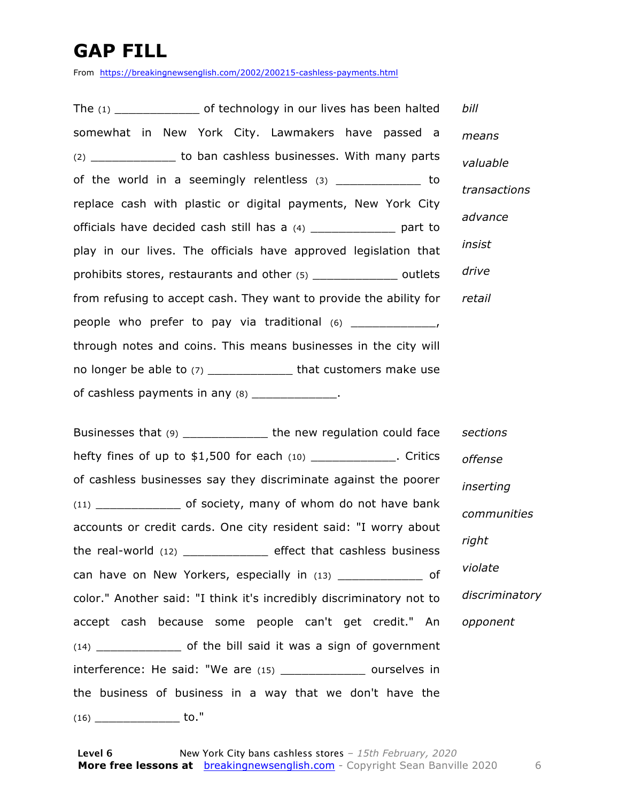### **GAP FILL**

From https://breakingnewsenglish.com/2002/200215-cashless-payments.html

The  $(1)$  of technology in our lives has been halted somewhat in New York City. Lawmakers have passed a (2) \_\_\_\_\_\_\_\_\_\_\_\_ to ban cashless businesses. With many parts of the world in a seemingly relentless (3) by to replace cash with plastic or digital payments, New York City officials have decided cash still has a (4) \_\_\_\_\_\_\_\_\_\_\_\_ part to play in our lives. The officials have approved legislation that prohibits stores, restaurants and other (5) \_\_\_\_\_\_\_\_\_\_\_\_\_\_\_\_\_ outlets from refusing to accept cash. They want to provide the ability for people who prefer to pay via traditional  $(6)$  \_\_\_\_\_\_\_\_\_\_\_\_\_, through notes and coins. This means businesses in the city will no longer be able to (7) \_\_\_\_\_\_\_\_\_\_\_\_\_\_\_ that customers make use of cashless payments in any  $(8)$  \_\_\_\_\_\_\_\_\_\_\_\_\_. *bill means valuable transactions advance insist drive retail*

Businesses that (9) \_\_\_\_\_\_\_\_\_\_\_\_ the new regulation could face hefty fines of up to \$1,500 for each (10) \_\_\_\_\_\_\_\_\_\_\_\_\_. Critics of cashless businesses say they discriminate against the poorer (11) \_\_\_\_\_\_\_\_\_\_\_\_ of society, many of whom do not have bank accounts or credit cards. One city resident said: "I worry about the real-world (12) \_\_\_\_\_\_\_\_\_\_\_\_ effect that cashless business can have on New Yorkers, especially in (13) \_\_\_\_\_\_\_\_\_\_\_\_\_ of color." Another said: "I think it's incredibly discriminatory not to accept cash because some people can't get credit." An (14) \_\_\_\_\_\_\_\_\_\_\_\_ of the bill said it was a sign of government interference: He said: "We are (15) \_\_\_\_\_\_\_\_\_\_\_\_\_\_\_ ourselves in the business of business in a way that we don't have the (16) \_\_\_\_\_\_\_\_\_\_\_\_ to." *sections offense inserting communities right violate discriminatory opponent*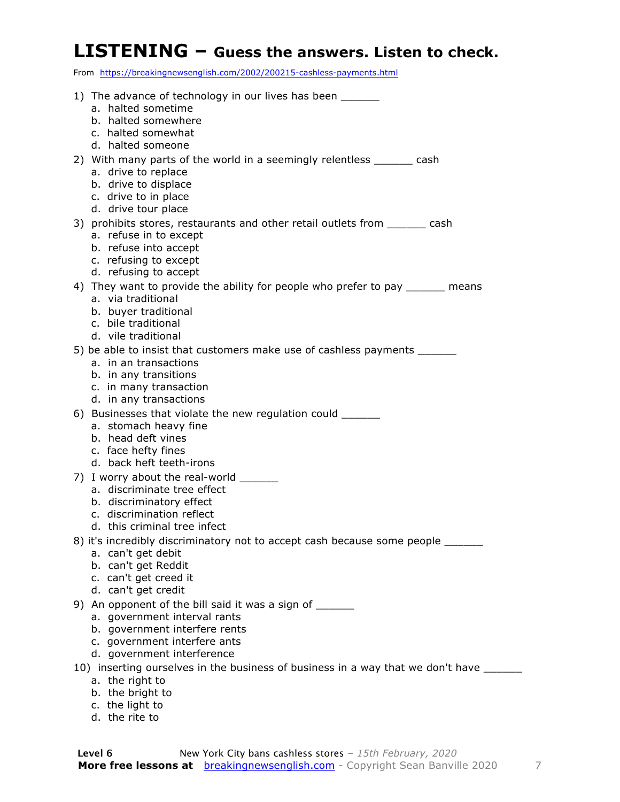#### **LISTENING – Guess the answers. Listen to check.**

From https://breakingnewsenglish.com/2002/200215-cashless-payments.html

| 1) The advance of technology in our lives has been ______                                           |
|-----------------------------------------------------------------------------------------------------|
| a. halted sometime                                                                                  |
| b. halted somewhere                                                                                 |
| c. halted somewhat                                                                                  |
| d. halted someone                                                                                   |
| 2) With many parts of the world in a seemingly relentless _______ cash                              |
| a. drive to replace<br>b. drive to displace                                                         |
| c. drive to in place                                                                                |
| d. drive tour place                                                                                 |
| 3) prohibits stores, restaurants and other retail outlets from _______ cash                         |
| a. refuse in to except                                                                              |
| b. refuse into accept                                                                               |
| c. refusing to except                                                                               |
| d. refusing to accept                                                                               |
| 4) They want to provide the ability for people who prefer to pay ______ means<br>a. via traditional |
| b. buyer traditional                                                                                |
| c. bile traditional                                                                                 |
| d. vile traditional                                                                                 |
| 5) be able to insist that customers make use of cashless payments _______                           |
| a. in an transactions                                                                               |
| b. in any transitions<br>c. in many transaction                                                     |
| d. in any transactions                                                                              |
| 6) Businesses that violate the new regulation could ______                                          |
| a. stomach heavy fine                                                                               |
| b. head deft vines                                                                                  |
| c. face hefty fines                                                                                 |
| d. back heft teeth-irons                                                                            |
| 7) I worry about the real-world ______<br>a. discriminate tree effect                               |
| b. discriminatory effect                                                                            |
| c. discrimination reflect                                                                           |
| d. this criminal tree infect                                                                        |
| 8) it's incredibly discriminatory not to accept cash because some people ______                     |
| a. can't get debit                                                                                  |
| b. can't get Reddit<br>c. can't get creed it                                                        |
| d. can't get credit                                                                                 |
| 9) An opponent of the bill said it was a sign of ______                                             |
| a. government interval rants                                                                        |
| b. government interfere rents                                                                       |
| c. government interfere ants                                                                        |
| d. government interference                                                                          |
| 10) inserting ourselves in the business of business in a way that we don't have ___                 |
| a. the right to                                                                                     |
| b. the bright to<br>c. the light to                                                                 |
| d. the rite to                                                                                      |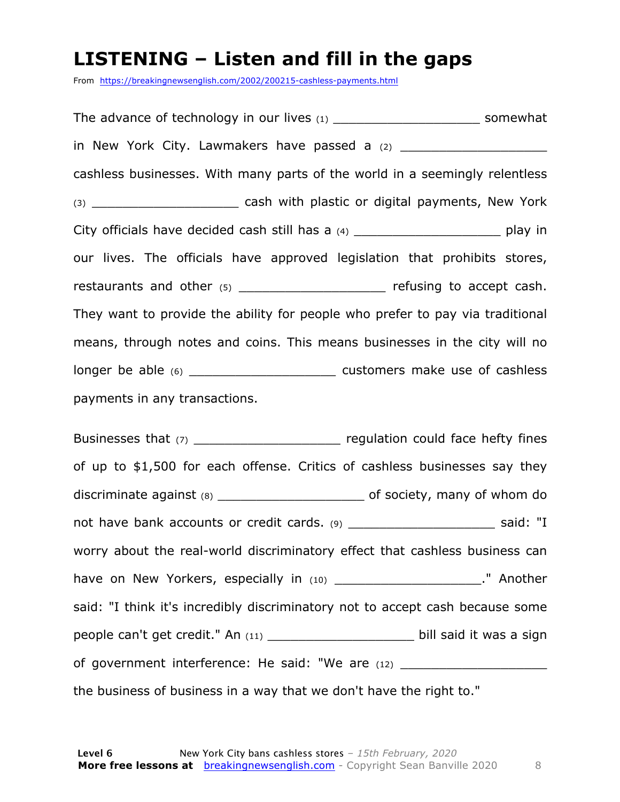#### **LISTENING – Listen and fill in the gaps**

From https://breakingnewsenglish.com/2002/200215-cashless-payments.html

The advance of technology in our lives  $(1)$  example  $(2)$  somewhat in New York City. Lawmakers have passed a (2) \_\_\_\_\_\_\_\_\_\_\_\_\_\_\_\_\_\_\_\_\_\_\_\_\_\_\_\_\_\_\_\_\_\_ cashless businesses. With many parts of the world in a seemingly relentless (3) **Example 2** cash with plastic or digital payments, New York City officials have decided cash still has a  $(4)$  example  $(4)$  play in our lives. The officials have approved legislation that prohibits stores, restaurants and other (5) contained the refusing to accept cash. They want to provide the ability for people who prefer to pay via traditional means, through notes and coins. This means businesses in the city will no longer be able (6) longer be able (6) payments in any transactions.

Businesses that (7) \_\_\_\_\_\_\_\_\_\_\_\_\_\_\_\_\_\_\_\_\_\_\_\_\_ regulation could face hefty fines of up to \$1,500 for each offense. Critics of cashless businesses say they discriminate against (8) \_\_\_\_\_\_\_\_\_\_\_\_\_\_\_\_\_\_\_ of society, many of whom do not have bank accounts or credit cards. (9) \_\_\_\_\_\_\_\_\_\_\_\_\_\_\_\_\_\_\_\_\_\_\_\_\_\_\_\_\_ said: "I worry about the real-world discriminatory effect that cashless business can have on New Yorkers, especially in (10) \_\_\_\_\_\_\_\_\_\_\_\_\_\_\_\_\_\_\_\_\_\_\_." Another said: "I think it's incredibly discriminatory not to accept cash because some people can't get credit." An (11) \_\_\_\_\_\_\_\_\_\_\_\_\_\_\_\_\_\_\_\_\_\_\_\_\_ bill said it was a sign of government interference: He said: "We are (12) \_\_\_\_\_\_\_\_\_\_\_\_\_\_\_\_\_\_\_\_\_\_\_\_\_\_\_\_\_\_ the business of business in a way that we don't have the right to."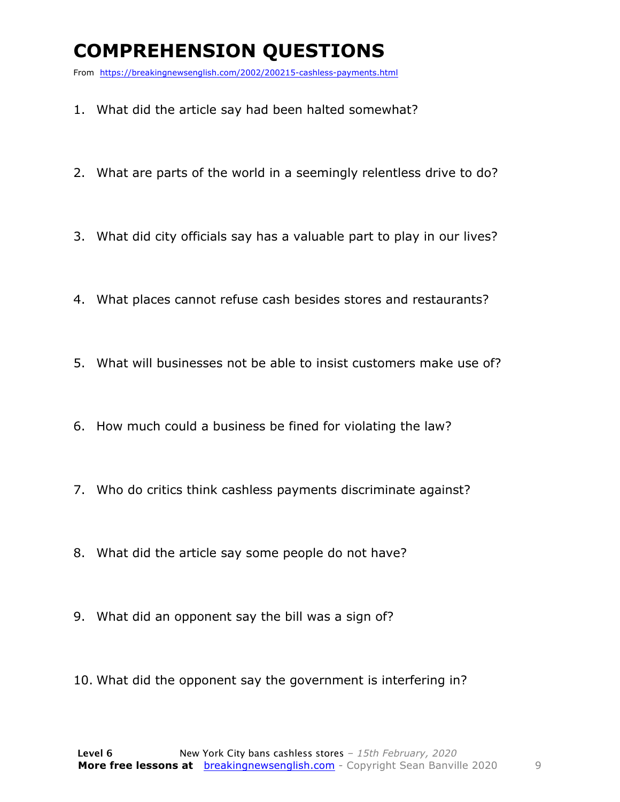### **COMPREHENSION QUESTIONS**

From https://breakingnewsenglish.com/2002/200215-cashless-payments.html

- 1. What did the article say had been halted somewhat?
- 2. What are parts of the world in a seemingly relentless drive to do?
- 3. What did city officials say has a valuable part to play in our lives?
- 4. What places cannot refuse cash besides stores and restaurants?
- 5. What will businesses not be able to insist customers make use of?
- 6. How much could a business be fined for violating the law?
- 7. Who do critics think cashless payments discriminate against?
- 8. What did the article say some people do not have?
- 9. What did an opponent say the bill was a sign of?
- 10. What did the opponent say the government is interfering in?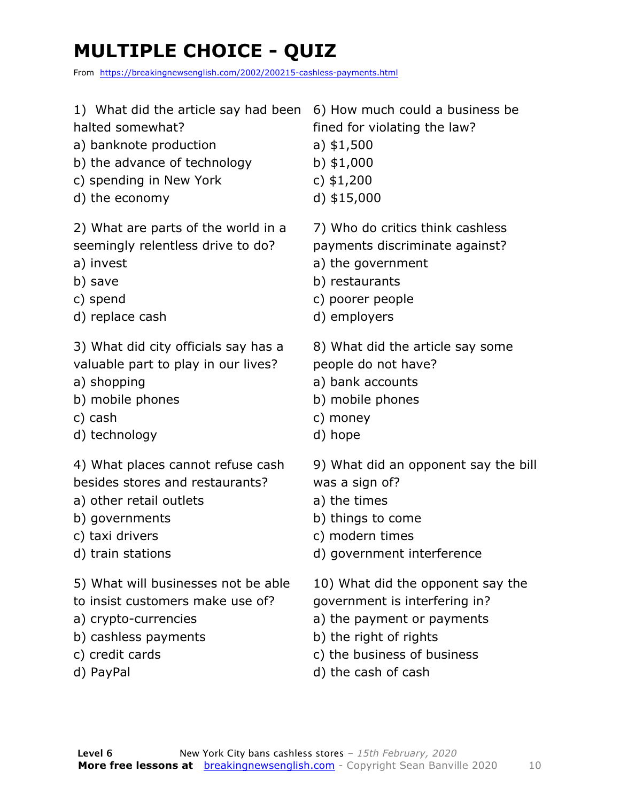### **MULTIPLE CHOICE - QUIZ**

From https://breakingnewsenglish.com/2002/200215-cashless-payments.html

- 1) What did the article say had been 6) How much could a business be
- halted somewhat?
- a) banknote production
- b) the advance of technology
- c) spending in New York
- d) the economy

2) What are parts of the world in a seemingly relentless drive to do?

- a) invest
- b) save
- c) spend
- d) replace cash

3) What did city officials say has a valuable part to play in our lives?

- a) shopping
- b) mobile phones
- c) cash
- d) technology

4) What places cannot refuse cash besides stores and restaurants?

- a) other retail outlets
- b) governments
- c) taxi drivers
- d) train stations
- 5) What will businesses not be able
- to insist customers make use of?
- a) crypto-currencies
- b) cashless payments
- c) credit cards
- d) PayPal

fined for violating the law?

- a) \$1,500
- b) \$1,000
- c) \$1,200
- d) \$15,000

7) Who do critics think cashless payments discriminate against?

- a) the government
- b) restaurants
- c) poorer people
- d) employers

8) What did the article say some people do not have?

- a) bank accounts
- b) mobile phones
- c) money
- d) hope

9) What did an opponent say the bill was a sign of?

- a) the times
- b) things to come
- c) modern times
- d) government interference
- 10) What did the opponent say the
- government is interfering in?
- a) the payment or payments
- b) the right of rights
- c) the business of business
- d) the cash of cash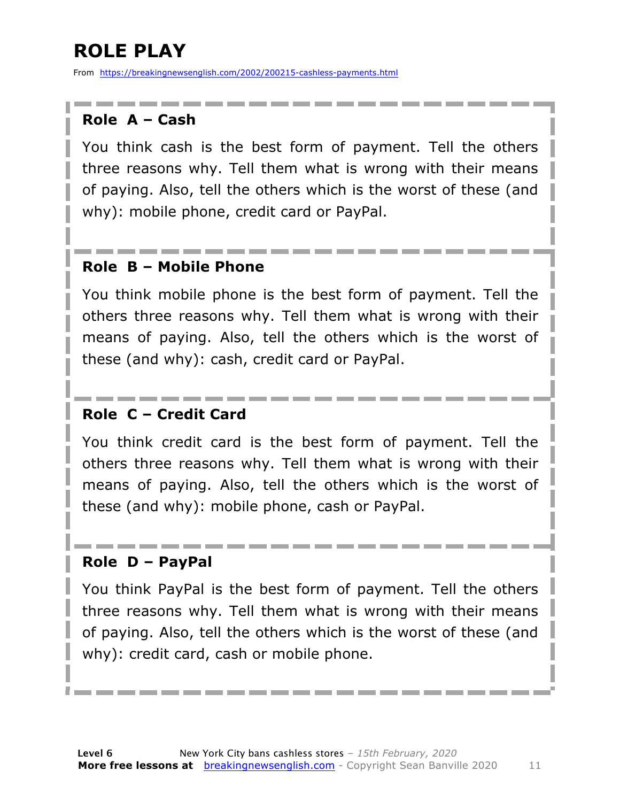### **ROLE PLAY**

From https://breakingnewsenglish.com/2002/200215-cashless-payments.html

#### **Role A – Cash**

You think cash is the best form of payment. Tell the others three reasons why. Tell them what is wrong with their means of paying. Also, tell the others which is the worst of these (and why): mobile phone, credit card or PayPal.

#### **Role B – Mobile Phone**

You think mobile phone is the best form of payment. Tell the others three reasons why. Tell them what is wrong with their means of paying. Also, tell the others which is the worst of these (and why): cash, credit card or PayPal.

#### **Role C – Credit Card**

You think credit card is the best form of payment. Tell the others three reasons why. Tell them what is wrong with their means of paying. Also, tell the others which is the worst of these (and why): mobile phone, cash or PayPal.

#### **Role D – PayPal**

You think PayPal is the best form of payment. Tell the others three reasons why. Tell them what is wrong with their means of paying. Also, tell the others which is the worst of these (and why): credit card, cash or mobile phone.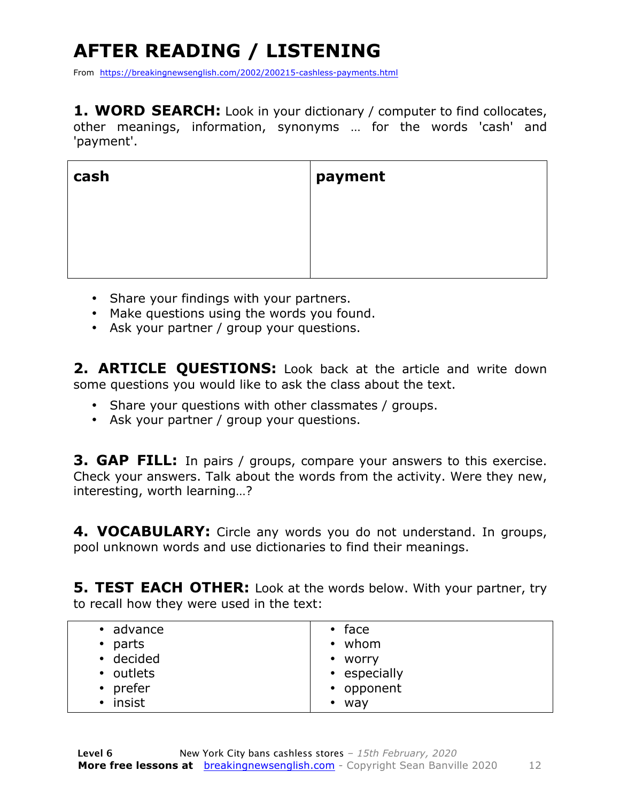### **AFTER READING / LISTENING**

From https://breakingnewsenglish.com/2002/200215-cashless-payments.html

1. WORD SEARCH: Look in your dictionary / computer to find collocates, other meanings, information, synonyms … for the words 'cash' and 'payment'.

| cash | payment |
|------|---------|
|      |         |
|      |         |

- Share your findings with your partners.
- Make questions using the words you found.
- Ask your partner / group your questions.

**2. ARTICLE QUESTIONS:** Look back at the article and write down some questions you would like to ask the class about the text.

- Share your questions with other classmates / groups.
- Ask your partner / group your questions.

**3. GAP FILL:** In pairs / groups, compare your answers to this exercise. Check your answers. Talk about the words from the activity. Were they new, interesting, worth learning…?

**4. VOCABULARY:** Circle any words you do not understand. In groups, pool unknown words and use dictionaries to find their meanings.

**5. TEST EACH OTHER:** Look at the words below. With your partner, try to recall how they were used in the text:

| $\bullet$ advance<br>$\bullet$ parts<br>• decided<br>• outlets<br>$\bullet$ prefer<br>• insist | $\cdot$ face<br>$\cdot$ whom<br>• worry<br>• especially<br>• opponent |
|------------------------------------------------------------------------------------------------|-----------------------------------------------------------------------|
|                                                                                                | $\bullet$ way                                                         |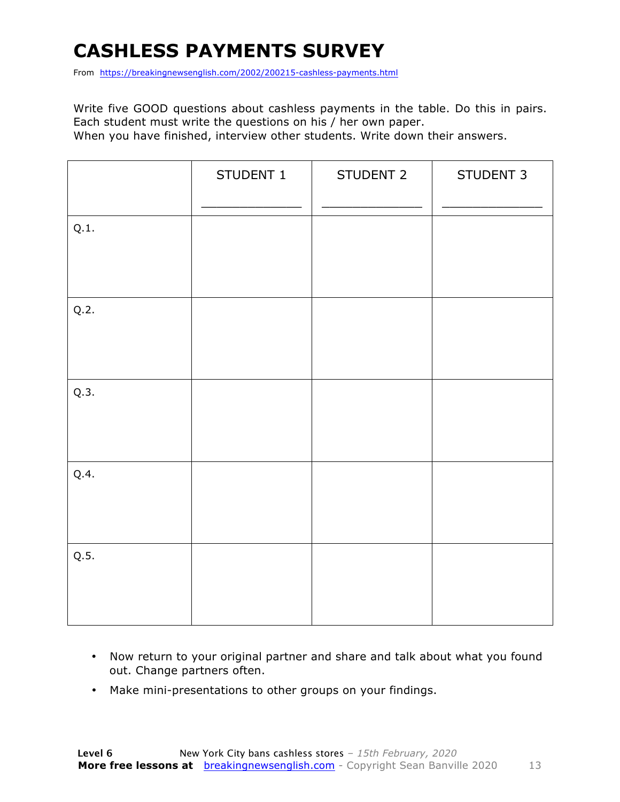### **CASHLESS PAYMENTS SURVEY**

From https://breakingnewsenglish.com/2002/200215-cashless-payments.html

Write five GOOD questions about cashless payments in the table. Do this in pairs. Each student must write the questions on his / her own paper.

When you have finished, interview other students. Write down their answers.

|      | STUDENT 1 | STUDENT 2 | STUDENT 3 |
|------|-----------|-----------|-----------|
| Q.1. |           |           |           |
| Q.2. |           |           |           |
| Q.3. |           |           |           |
| Q.4. |           |           |           |
| Q.5. |           |           |           |

- Now return to your original partner and share and talk about what you found out. Change partners often.
- Make mini-presentations to other groups on your findings.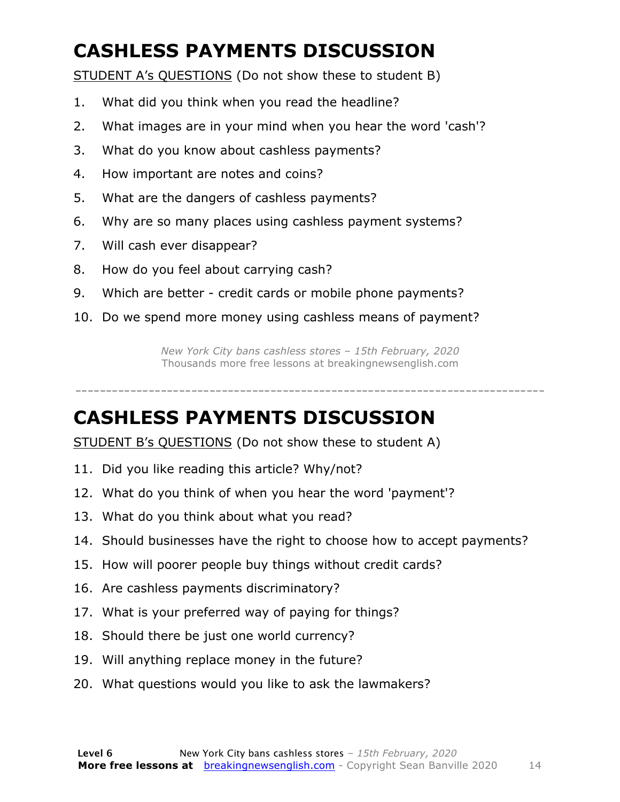### **CASHLESS PAYMENTS DISCUSSION**

STUDENT A's QUESTIONS (Do not show these to student B)

- 1. What did you think when you read the headline?
- 2. What images are in your mind when you hear the word 'cash'?
- 3. What do you know about cashless payments?
- 4. How important are notes and coins?
- 5. What are the dangers of cashless payments?
- 6. Why are so many places using cashless payment systems?
- 7. Will cash ever disappear?
- 8. How do you feel about carrying cash?
- 9. Which are better credit cards or mobile phone payments?
- 10. Do we spend more money using cashless means of payment?

*New York City bans cashless stores – 15th February, 2020* Thousands more free lessons at breakingnewsenglish.com

## -----------------------------------------------------------------------------

#### **CASHLESS PAYMENTS DISCUSSION**

STUDENT B's QUESTIONS (Do not show these to student A)

- 11. Did you like reading this article? Why/not?
- 12. What do you think of when you hear the word 'payment'?
- 13. What do you think about what you read?
- 14. Should businesses have the right to choose how to accept payments?
- 15. How will poorer people buy things without credit cards?
- 16. Are cashless payments discriminatory?
- 17. What is your preferred way of paying for things?
- 18. Should there be just one world currency?
- 19. Will anything replace money in the future?
- 20. What questions would you like to ask the lawmakers?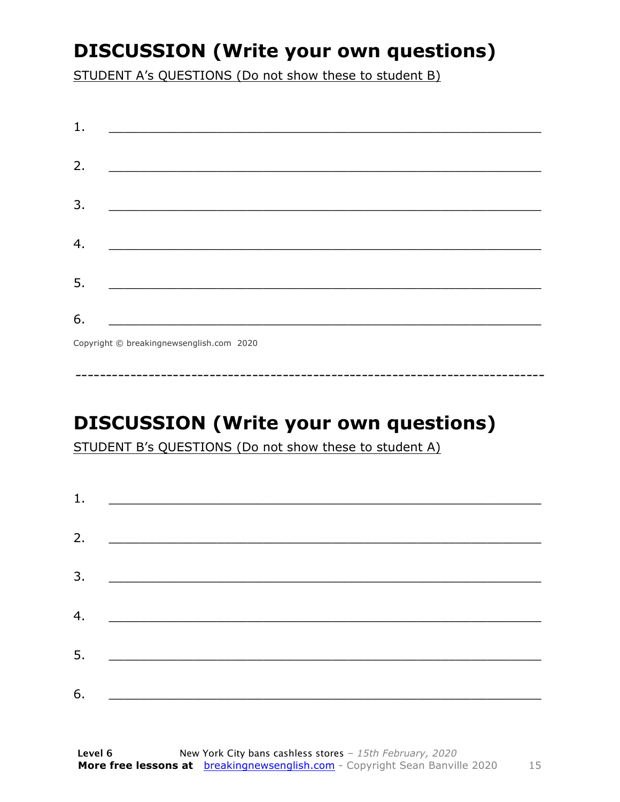### **DISCUSSION (Write your own questions)**

STUDENT A's QUESTIONS (Do not show these to student B)

| 1.                                                              |  |
|-----------------------------------------------------------------|--|
| 2.                                                              |  |
| 3.<br><u> 1989 - Johann John Stone, mensk politik (d. 1989)</u> |  |
|                                                                 |  |
| 4.                                                              |  |
| 5.<br><u> 1980 - Johann John Stone, mars eta biztanleria (</u>  |  |
| 6.<br>Convright © breaking newsenglish com 2020                 |  |

Copyright © breakingnewsenglish.com 2020

### **DISCUSSION (Write your own questions)**

STUDENT B's QUESTIONS (Do not show these to student A)

| 1. | <u> Alexandria de la contrada de la contrada de la contrada de la contrada de la contrada de la contrada de la c</u> |  |  |
|----|----------------------------------------------------------------------------------------------------------------------|--|--|
|    |                                                                                                                      |  |  |
| 2. |                                                                                                                      |  |  |
| 3. |                                                                                                                      |  |  |
| 4. |                                                                                                                      |  |  |
|    |                                                                                                                      |  |  |
| 5. |                                                                                                                      |  |  |
| 6. |                                                                                                                      |  |  |
|    |                                                                                                                      |  |  |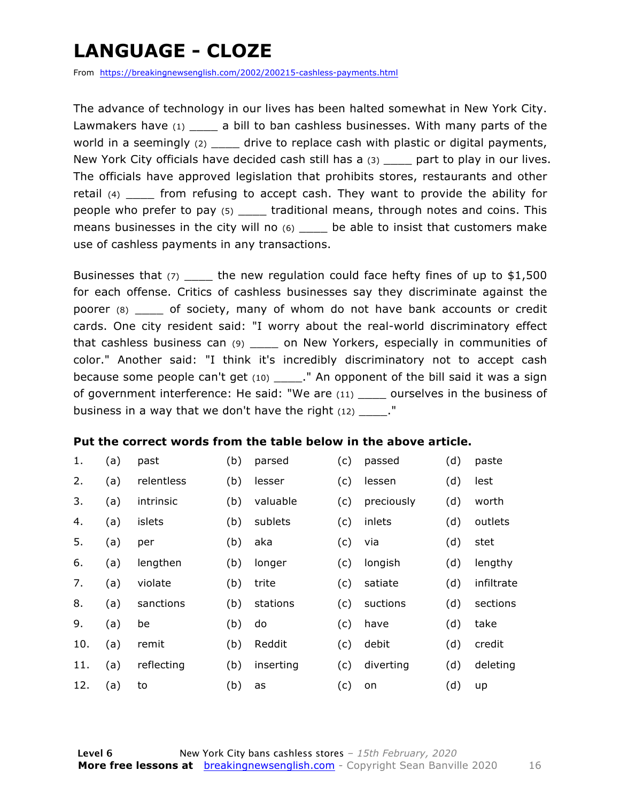### **LANGUAGE - CLOZE**

From https://breakingnewsenglish.com/2002/200215-cashless-payments.html

The advance of technology in our lives has been halted somewhat in New York City. Lawmakers have (1) \_\_\_\_ a bill to ban cashless businesses. With many parts of the world in a seemingly  $(2)$  \_\_\_\_ drive to replace cash with plastic or digital payments, New York City officials have decided cash still has a (3) \_\_\_\_ part to play in our lives. The officials have approved legislation that prohibits stores, restaurants and other retail (4) from refusing to accept cash. They want to provide the ability for people who prefer to pay (5) \_\_\_\_ traditional means, through notes and coins. This means businesses in the city will no  $(6)$  be able to insist that customers make use of cashless payments in any transactions.

Businesses that (7) \_\_\_\_\_ the new regulation could face hefty fines of up to \$1,500 for each offense. Critics of cashless businesses say they discriminate against the poorer (8) \_\_\_\_ of society, many of whom do not have bank accounts or credit cards. One city resident said: "I worry about the real-world discriminatory effect that cashless business can (9) \_\_\_\_ on New Yorkers, especially in communities of color." Another said: "I think it's incredibly discriminatory not to accept cash because some people can't get (10) \_\_\_\_\_." An opponent of the bill said it was a sign of government interference: He said: "We are (11) \_\_\_\_ ourselves in the business of business in a way that we don't have the right  $(12)$ .  $"$ 

#### **Put the correct words from the table below in the above article.**

| 1.  | (a) | past       | (b) | parsed    | (c) | passed     | (d) | paste      |
|-----|-----|------------|-----|-----------|-----|------------|-----|------------|
| 2.  | (a) | relentless | (b) | lesser    | (c) | lessen     | (d) | lest       |
| 3.  | (a) | intrinsic  | (b) | valuable  | (c) | preciously | (d) | worth      |
| 4.  | (a) | islets     | (b) | sublets   | (c) | inlets     | (d) | outlets    |
| 5.  | (a) | per        | (b) | aka       | (c) | via        | (d) | stet       |
| 6.  | (a) | lengthen   | (b) | longer    | (c) | longish    | (d) | lengthy    |
| 7.  | (a) | violate    | (b) | trite     | (c) | satiate    | (d) | infiltrate |
| 8.  | (a) | sanctions  | (b) | stations  | (c) | suctions   | (d) | sections   |
| 9.  | (a) | be         | (b) | do        | (c) | have       | (d) | take       |
| 10. | (a) | remit      | (b) | Reddit    | (c) | debit      | (d) | credit     |
| 11. | (a) | reflecting | (b) | inserting | (c) | diverting  | (d) | deleting   |
| 12. | (a) | to         | (b) | as        | (c) | on         | (d) | up         |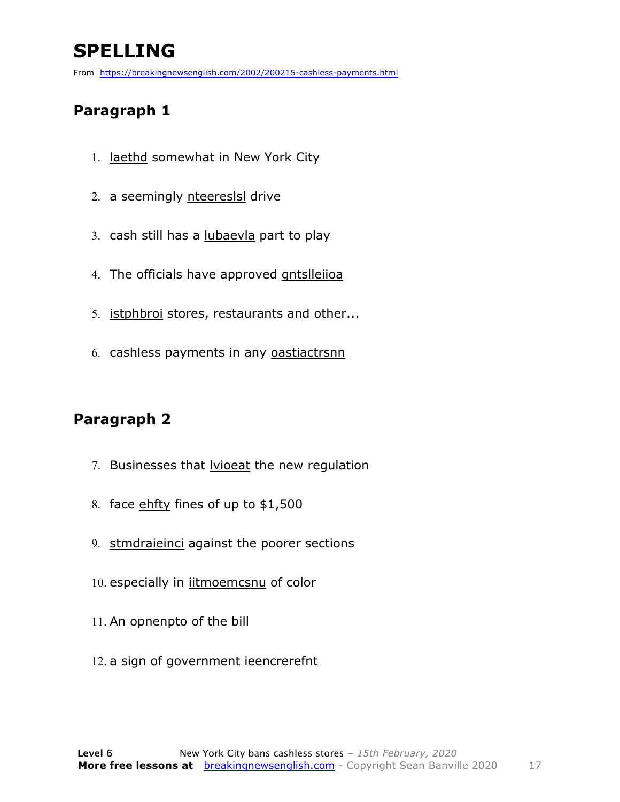### **SPELLING**

From https://breakingnewsenglish.com/2002/200215-cashless-payments.html

#### **Paragraph 1**

- 1. laethd somewhat in New York City
- 2. a seemingly nteereslsl drive
- 3. cash still has a lubaevla part to play
- 4. The officials have approved gntslleiioa
- 5. istphbroi stores, restaurants and other...
- 6. cashless payments in any oastiactrsnn

#### **Paragraph 2**

- 7. Businesses that **lyioeat** the new regulation
- 8. face ehfty fines of up to \$1,500
- 9. stmdraieinci against the poorer sections
- 10. especially in *iitmoemcsnu* of color
- 11. An opnenpto of the bill
- 12. a sign of government jeencrerefnt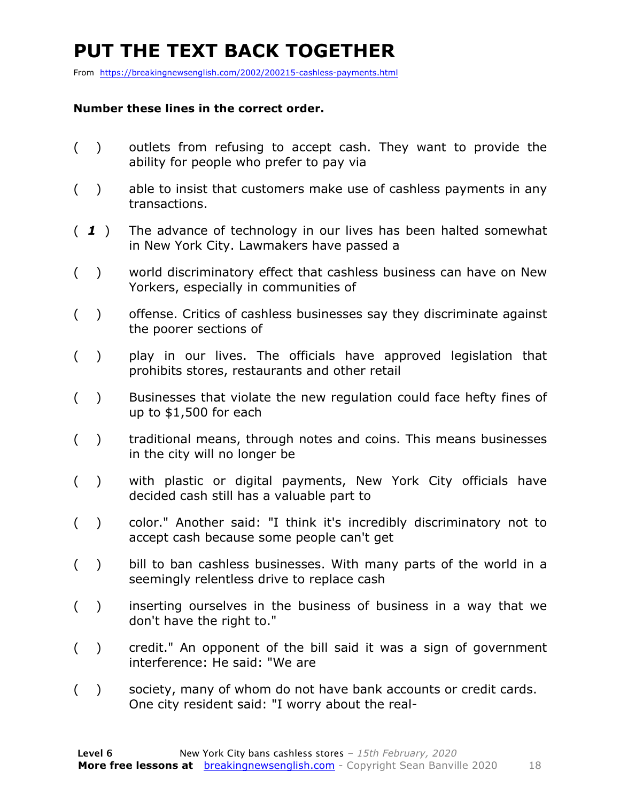### **PUT THE TEXT BACK TOGETHER**

From https://breakingnewsenglish.com/2002/200215-cashless-payments.html

#### **Number these lines in the correct order.**

- ( ) outlets from refusing to accept cash. They want to provide the ability for people who prefer to pay via
- ( ) able to insist that customers make use of cashless payments in any transactions.
- ( *1* ) The advance of technology in our lives has been halted somewhat in New York City. Lawmakers have passed a
- ( ) world discriminatory effect that cashless business can have on New Yorkers, especially in communities of
- ( ) offense. Critics of cashless businesses say they discriminate against the poorer sections of
- ( ) play in our lives. The officials have approved legislation that prohibits stores, restaurants and other retail
- ( ) Businesses that violate the new regulation could face hefty fines of up to \$1,500 for each
- ( ) traditional means, through notes and coins. This means businesses in the city will no longer be
- ( ) with plastic or digital payments, New York City officials have decided cash still has a valuable part to
- ( ) color." Another said: "I think it's incredibly discriminatory not to accept cash because some people can't get
- ( ) bill to ban cashless businesses. With many parts of the world in a seemingly relentless drive to replace cash
- ( ) inserting ourselves in the business of business in a way that we don't have the right to."
- ( ) credit." An opponent of the bill said it was a sign of government interference: He said: "We are
- ( ) society, many of whom do not have bank accounts or credit cards. One city resident said: "I worry about the real-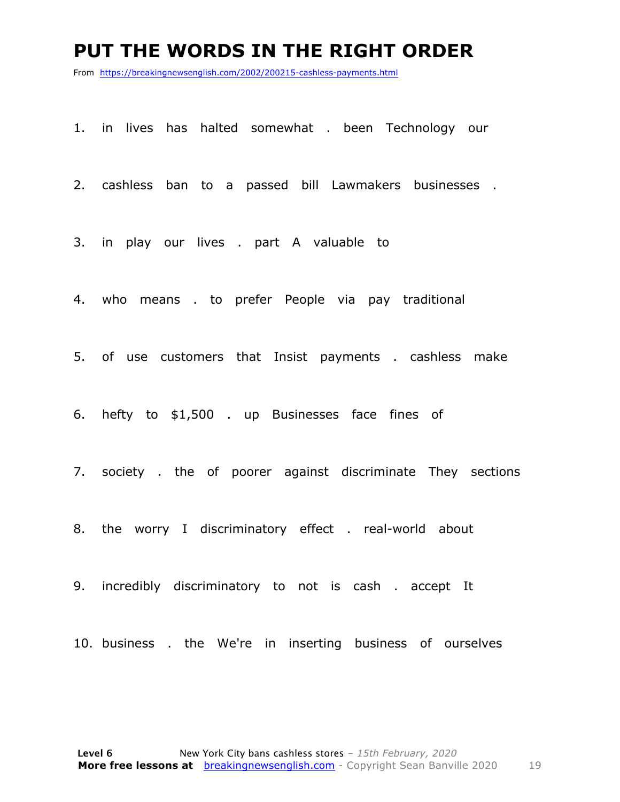#### **PUT THE WORDS IN THE RIGHT ORDER**

From https://breakingnewsenglish.com/2002/200215-cashless-payments.html

1. in lives has halted somewhat . been Technology our

2. cashless ban to a passed bill Lawmakers businesses .

3. in play our lives . part A valuable to

4. who means . to prefer People via pay traditional

5. of use customers that Insist payments . cashless make

6. hefty to \$1,500 . up Businesses face fines of

7. society . the of poorer against discriminate They sections

8. the worry I discriminatory effect . real-world about

9. incredibly discriminatory to not is cash . accept It

10. business . the We're in inserting business of ourselves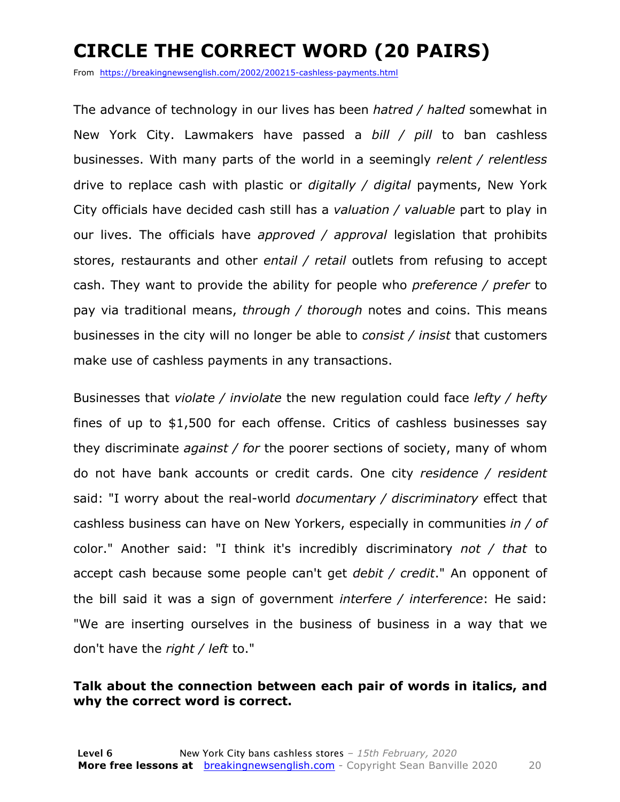### **CIRCLE THE CORRECT WORD (20 PAIRS)**

From https://breakingnewsenglish.com/2002/200215-cashless-payments.html

The advance of technology in our lives has been *hatred / halted* somewhat in New York City. Lawmakers have passed a *bill / pill* to ban cashless businesses. With many parts of the world in a seemingly *relent / relentless* drive to replace cash with plastic or *digitally / digital* payments, New York City officials have decided cash still has a *valuation / valuable* part to play in our lives. The officials have *approved / approval* legislation that prohibits stores, restaurants and other *entail / retail* outlets from refusing to accept cash. They want to provide the ability for people who *preference / prefer* to pay via traditional means, *through / thorough* notes and coins. This means businesses in the city will no longer be able to *consist / insist* that customers make use of cashless payments in any transactions.

Businesses that *violate / inviolate* the new regulation could face *lefty / hefty* fines of up to \$1,500 for each offense. Critics of cashless businesses say they discriminate *against / for* the poorer sections of society, many of whom do not have bank accounts or credit cards. One city *residence / resident* said: "I worry about the real-world *documentary / discriminatory* effect that cashless business can have on New Yorkers, especially in communities *in / of* color." Another said: "I think it's incredibly discriminatory *not / that* to accept cash because some people can't get *debit / credit*." An opponent of the bill said it was a sign of government *interfere / interference*: He said: "We are inserting ourselves in the business of business in a way that we don't have the *right / left* to."

#### **Talk about the connection between each pair of words in italics, and why the correct word is correct.**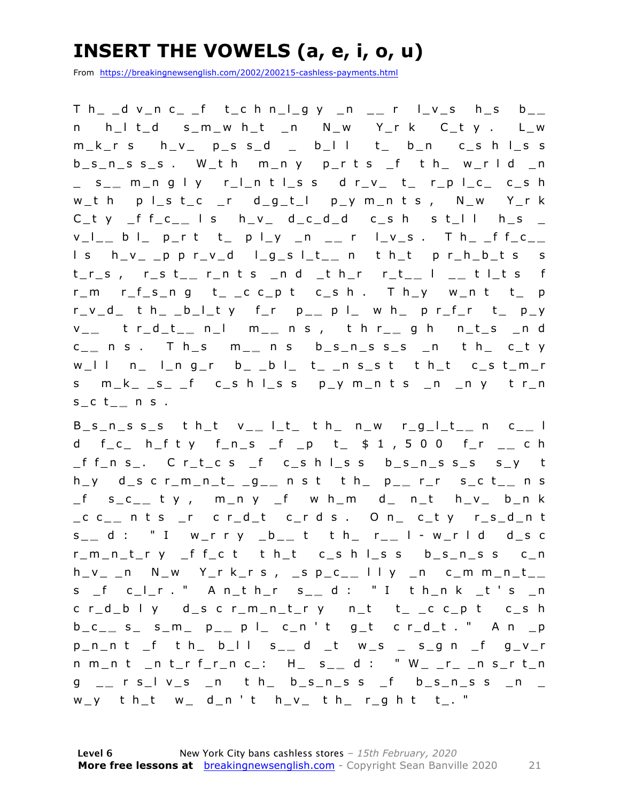### **INSERT THE VOWELS (a, e, i, o, u)**

From https://breakingnewsenglish.com/2002/200215-cashless-payments.html

T h\_ \_d v\_n c\_ \_f t\_c h n\_l\_g y \_n \_ **\_** r l\_v\_s h\_s b\_ **\_**  n h\_l t\_d s\_m\_w h\_t \_n N\_w Y\_r k C\_t y . L\_w  $m_k$ r s  $h_v$  p\_s s\_d \_ b\_l l t\_ b\_n c\_s h l\_s s  $b_s_n_s_s_s$ . W\_th m\_ny p\_rts \_f th\_ w\_rld \_n \_ s\_ **\_** m\_n g l y r\_l\_n t l\_s s d r\_v\_ t\_ r\_p l\_c\_ c\_s h w\_t h p l\_s t\_c \_r d\_g\_t\_l p\_y m\_n t s , N\_w Y\_r k  $C_t$  y \_f f\_c\_\_ l s h\_v\_ d\_c\_d\_d c\_s h s t\_l l h\_s \_ v\_l\_ **\_** b l\_ p\_r t t\_ p l\_y \_n \_ **\_** r l\_v\_s . T h\_ \_f f\_c\_ **\_**  l s h\_v\_ \_p p r\_v\_d l\_g\_s l\_t\_ **\_** n t h\_t p r\_h\_b\_t s s t\_r\_s , r\_s t\_ **\_** r\_n t s \_n d \_t h\_r r\_t\_ **\_** l \_ **\_** t l\_t s f r\_m r\_f\_s\_n g t\_ \_c c\_p t c\_s h . T h\_y w\_n t t\_ p r\_v\_d\_ t h\_ \_b\_l\_t y f\_r p\_ **\_** p l\_ w h\_ p r\_f\_r t\_ p\_y v \_ **\_** t r\_d\_t\_ **\_** n\_l m\_ **\_** n s , t h r\_ **\_** g h n\_t\_s \_n d c \_ **\_** n s . T h \_s m\_ **\_** n s b\_s\_n\_s s\_s \_n t h\_ c\_t y  $w_l$ l l n\_ l\_n g\_r b\_ \_b l\_ t\_ \_n s\_s t t h\_t c\_s t\_m\_r s m\_k\_ \_s\_ \_f c\_s h l\_s s p\_y m\_n t s \_n \_n y t r\_n s\_c t\_ **\_** n s .

B\_s\_n\_s s\_s t h\_t v\_ **\_** l\_t\_ t h\_ n\_w r\_g\_l\_t\_ **\_** n c\_ **\_** l d f\_c\_ h\_f t y f\_n\_s \_f \_p t\_ \$ 1 , 5 0 0 f\_r \_ **\_** c h \_f f\_n s\_. C r\_t\_c s \_f c\_s h l\_s s b\_s\_n\_s s\_s s\_y t h\_y d\_s c r\_m\_n\_t\_ \_g\_ **\_** n s t t h\_ p\_ **\_** r\_r s\_c t\_ **\_** n s \_f s\_c\_ **\_** t y , m\_n y \_f w h\_m d\_ n\_t h\_v\_ b\_n k \_c c \_ **\_** n t s \_r c r\_d\_t c\_r d s . O n\_ c\_t y r\_s\_d\_n t s \_ **\_** d : " I w\_r r y \_b\_ **\_** t t h\_ r\_ **\_** l - w\_r l d d\_s c r\_m\_n\_t\_r y \_f f\_c t t h\_t c\_s h l\_s s b\_s\_n\_s s c\_n h\_v\_ \_n N\_w Y\_r k\_r s , \_s p\_c\_ **\_** l l y \_n c\_m m\_n\_t\_ **\_**  s \_f c\_l\_r . " A n\_t h\_r s\_ **\_** d : " I t h\_n k \_t ' s \_n c r\_d\_b l y d\_s c r\_m\_n\_t\_r y n\_t t\_ \_c c\_p t c\_s h b\_c\_ **\_** s\_ s\_m\_ p\_ **\_** p l\_ c\_n ' t g\_t c r\_d\_t . " A n \_p p\_n\_n t \_f t h\_ b\_l l s\_ **\_** d \_t w\_s \_ s\_g n \_f g\_v\_ r n m\_n t \_n t\_r f\_r\_n c\_: H\_ s\_ **\_** d : " W\_ \_r\_ \_n s\_r t\_n g \_ **\_** r s\_l v\_s \_n t h\_ b\_s\_n\_s s \_f b\_s\_n\_s s \_n \_  $w_y$  th\_t  $w$  d\_n't h\_v\_ th\_ r\_g h t t\_. "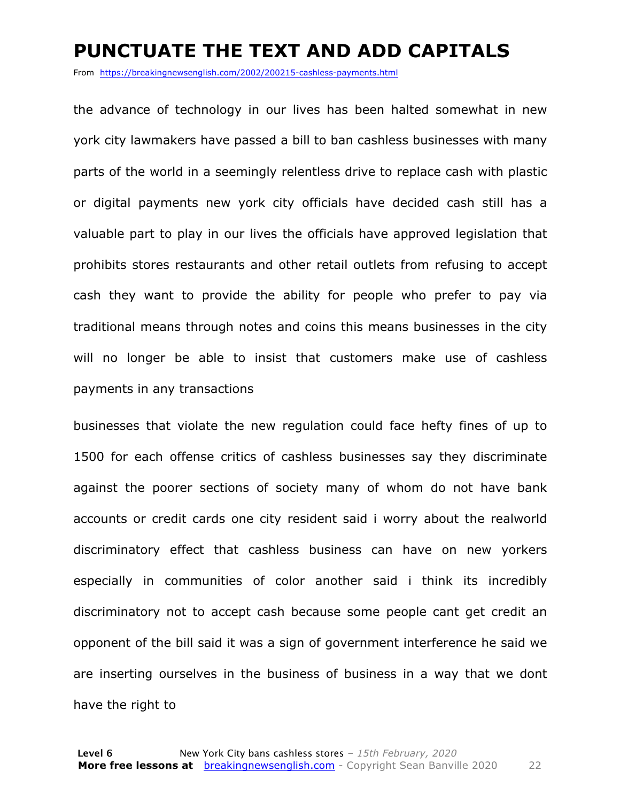#### **PUNCTUATE THE TEXT AND ADD CAPITALS**

From https://breakingnewsenglish.com/2002/200215-cashless-payments.html

the advance of technology in our lives has been halted somewhat in new york city lawmakers have passed a bill to ban cashless businesses with many parts of the world in a seemingly relentless drive to replace cash with plastic or digital payments new york city officials have decided cash still has a valuable part to play in our lives the officials have approved legislation that prohibits stores restaurants and other retail outlets from refusing to accept cash they want to provide the ability for people who prefer to pay via traditional means through notes and coins this means businesses in the city will no longer be able to insist that customers make use of cashless payments in any transactions

businesses that violate the new regulation could face hefty fines of up to 1500 for each offense critics of cashless businesses say they discriminate against the poorer sections of society many of whom do not have bank accounts or credit cards one city resident said i worry about the realworld discriminatory effect that cashless business can have on new yorkers especially in communities of color another said i think its incredibly discriminatory not to accept cash because some people cant get credit an opponent of the bill said it was a sign of government interference he said we are inserting ourselves in the business of business in a way that we dont have the right to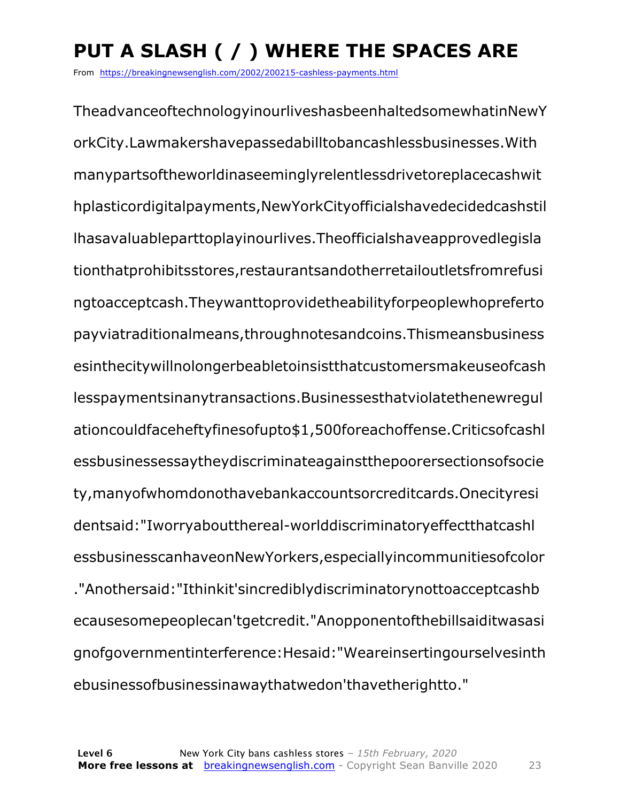### **PUT A SLASH ( / ) WHERE THE SPACES ARE**

From https://breakingnewsenglish.com/2002/200215-cashless-payments.html

TheadvanceoftechnologyinourliveshasbeenhaltedsomewhatinNewY orkCity.Lawmakershavepassedabilltobancashlessbusinesses.With manypartsoftheworldinaseeminglyrelentlessdrivetoreplacecashwit hplasticordigitalpayments,NewYorkCityofficialshavedecidedcashstil lhasavaluableparttoplayinourlives.Theofficialshaveapprovedlegisla tionthatprohibitsstores,restaurantsandotherretailoutletsfromrefusi ngtoacceptcash.Theywanttoprovidetheabilityforpeoplewhopreferto payviatraditionalmeans,throughnotesandcoins.Thismeansbusiness esinthecitywillnolongerbeabletoinsistthatcustomersmakeuseofcash lesspaymentsinanytransactions.Businessesthatviolatethenewregul ationcouldfaceheftyfinesofupto\$1,500foreachoffense.Criticsofcashl essbusinessessaytheydiscriminateagainstthepoorersectionsofsocie ty,manyofwhomdonothavebankaccountsorcreditcards.Onecityresi dentsaid:"Iworryaboutthereal-worlddiscriminatoryeffectthatcashl essbusinesscanhaveonNewYorkers,especiallyincommunitiesofcolor ."Anothersaid:"Ithinkit'sincrediblydiscriminatorynottoacceptcashb ecausesomepeoplecan'tgetcredit."Anopponentofthebillsaiditwasasi gnofgovernmentinterference:Hesaid:"Weareinsertingourselvesinth ebusinessofbusinessinawaythatwedon'thavetherightto."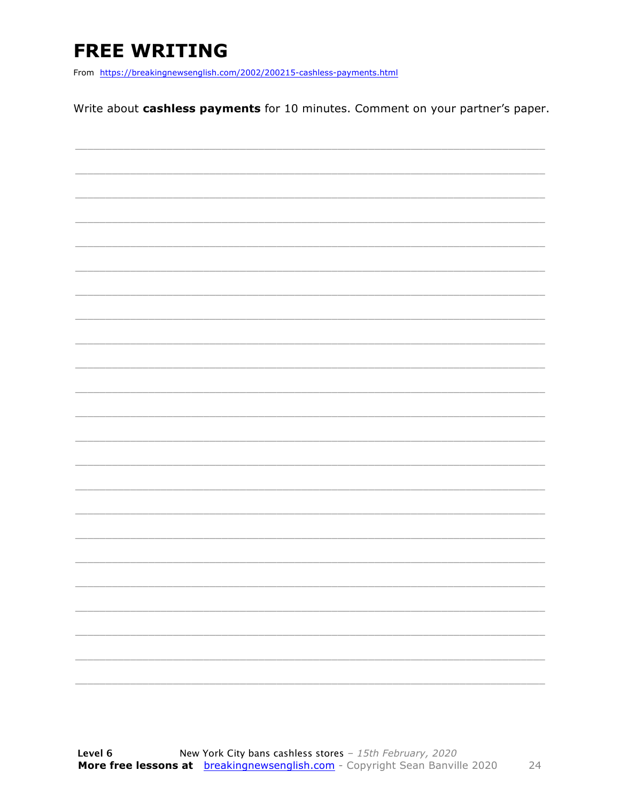### **FREE WRITING**

From https://breakingnewsenglish.com/2002/200215-cashless-payments.html

Write about cashless payments for 10 minutes. Comment on your partner's paper.

|  | - |
|--|---|
|  |   |
|  | - |
|  |   |
|  |   |
|  |   |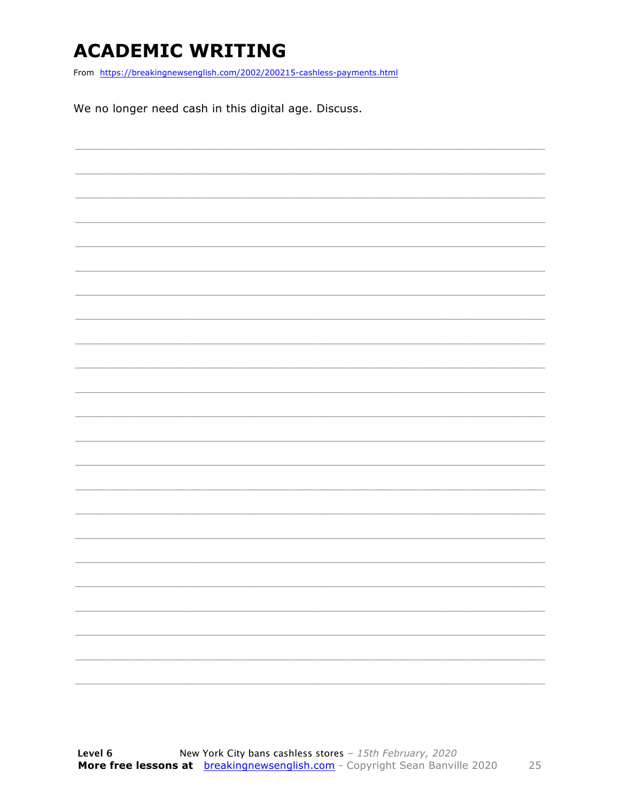### **ACADEMIC WRITING**

From https://breakingnewsenglish.com/2002/200215-cashless-payments.html

We no longer need cash in this digital age. Discuss.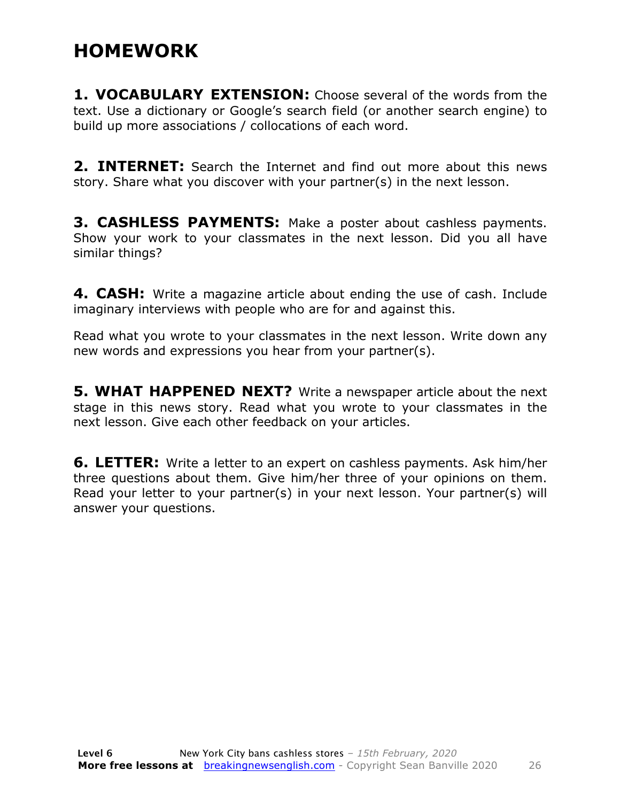#### **HOMEWORK**

**1. VOCABULARY EXTENSION:** Choose several of the words from the text. Use a dictionary or Google's search field (or another search engine) to build up more associations / collocations of each word.

**2. INTERNET:** Search the Internet and find out more about this news story. Share what you discover with your partner(s) in the next lesson.

**3. CASHLESS PAYMENTS:** Make a poster about cashless payments. Show your work to your classmates in the next lesson. Did you all have similar things?

**4. CASH:** Write a magazine article about ending the use of cash. Include imaginary interviews with people who are for and against this.

Read what you wrote to your classmates in the next lesson. Write down any new words and expressions you hear from your partner(s).

**5. WHAT HAPPENED NEXT?** Write a newspaper article about the next stage in this news story. Read what you wrote to your classmates in the next lesson. Give each other feedback on your articles.

**6. LETTER:** Write a letter to an expert on cashless payments. Ask him/her three questions about them. Give him/her three of your opinions on them. Read your letter to your partner(s) in your next lesson. Your partner(s) will answer your questions.